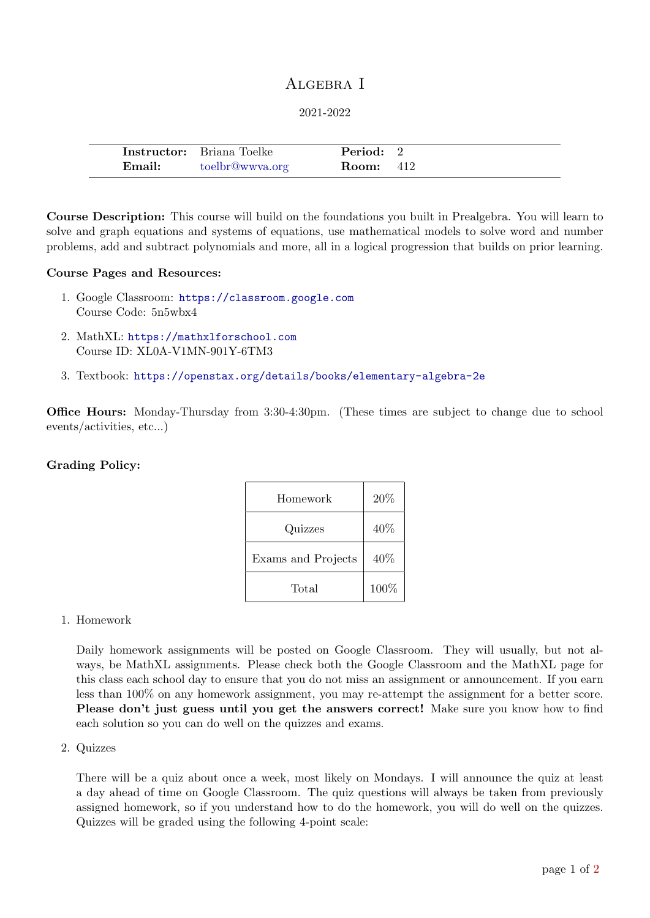# ALGEBRA I

#### 2021-2022

|        | <b>Instructor:</b> Briana Toelke | Period: 2        |  |
|--------|----------------------------------|------------------|--|
| Email: | toelbr@wwya.org                  | <b>Room:</b> 412 |  |

Course Description: This course will build on the foundations you built in Prealgebra. You will learn to solve and graph equations and systems of equations, use mathematical models to solve word and number problems, add and subtract polynomials and more, all in a logical progression that builds on prior learning.

#### Course Pages and Resources:

- 1. Google Classroom: <https://classroom.google.com> Course Code: 5n5wbx4
- 2. MathXL: <https://mathxlforschool.com> Course ID: XL0A-V1MN-901Y-6TM3
- 3. Textbook: <https://openstax.org/details/books/elementary-algebra-2e>

Office Hours: Monday-Thursday from 3:30-4:30pm. (These times are subject to change due to school events/activities, etc...)

### Grading Policy:

| Homework           | 20%  |
|--------------------|------|
| Quizzes            | 40\% |
| Exams and Projects | 40\% |
| Total              | 100% |

### 1. Homework

Daily homework assignments will be posted on Google Classroom. They will usually, but not always, be MathXL assignments. Please check both the Google Classroom and the MathXL page for this class each school day to ensure that you do not miss an assignment or announcement. If you earn less than 100% on any homework assignment, you may re-attempt the assignment for a better score. Please don't just guess until you get the answers correct! Make sure you know how to find each solution so you can do well on the quizzes and exams.

#### 2. Quizzes

There will be a quiz about once a week, most likely on Mondays. I will announce the quiz at least a day ahead of time on Google Classroom. The quiz questions will always be taken from previously assigned homework, so if you understand how to do the homework, you will do well on the quizzes. Quizzes will be graded using the following 4-point scale: